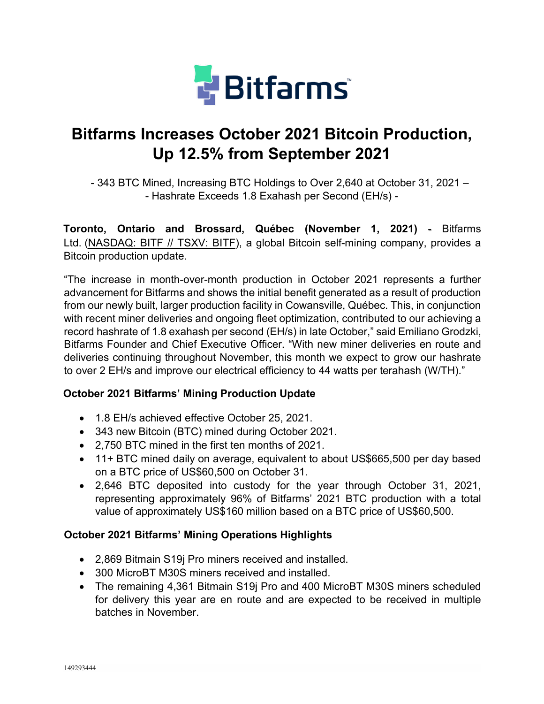

# **Bitfarms Increases October 2021 Bitcoin Production, Up 12.5% from September 2021**

- 343 BTC Mined, Increasing BTC Holdings to Over 2,640 at October 31, 2021 – - Hashrate Exceeds 1.8 Exahash per Second (EH/s) -

**Toronto, Ontario and Brossard, Québec (November 1, 2021)** - [Bitfarms](https://cts.businesswire.com/ct/CT?id=smartlink&url=https%3A%2F%2Fbitfarms.com%2F&esheet=52352512&newsitemid=20201222005172&lan=en-US&anchor=Bitfarms+Ltd.&index=1&md5=4e2b5a37e06e1e60e5ebf2e5b16a4b57)  [Ltd.](https://cts.businesswire.com/ct/CT?id=smartlink&url=https%3A%2F%2Fbitfarms.com%2F&esheet=52352512&newsitemid=20201222005172&lan=en-US&anchor=Bitfarms+Ltd.&index=1&md5=4e2b5a37e06e1e60e5ebf2e5b16a4b57) (NASDAQ: BITF // TSXV: BITF), a global Bitcoin self-mining company, provides a Bitcoin production update.

"The increase in month-over-month production in October 2021 represents a further advancement for Bitfarms and shows the initial benefit generated as a result of production from our newly built, larger production facility in Cowansville, Québec. This, in conjunction with recent miner deliveries and ongoing fleet optimization, contributed to our achieving a record hashrate of 1.8 exahash per second (EH/s) in late October," said Emiliano Grodzki, Bitfarms Founder and Chief Executive Officer. "With new miner deliveries en route and deliveries continuing throughout November, this month we expect to grow our hashrate to over 2 EH/s and improve our electrical efficiency to 44 watts per terahash (W/TH)."

# **October 2021 Bitfarms' Mining Production Update**

- 1.8 EH/s achieved effective October 25, 2021.
- 343 new Bitcoin (BTC) mined during October 2021.
- 2,750 BTC mined in the first ten months of 2021.
- 11+ BTC mined daily on average, equivalent to about US\$665,500 per day based on a BTC price of US\$60,500 on October 31.
- 2,646 BTC deposited into custody for the year through October 31, 2021, representing approximately 96% of Bitfarms' 2021 BTC production with a total value of approximately US\$160 million based on a BTC price of US\$60,500.

# **October 2021 Bitfarms' Mining Operations Highlights**

- 2,869 Bitmain S19j Pro miners received and installed.
- 300 MicroBT M30S miners received and installed.
- The remaining 4,361 Bitmain S19j Pro and 400 MicroBT M30S miners scheduled for delivery this year are en route and are expected to be received in multiple batches in November.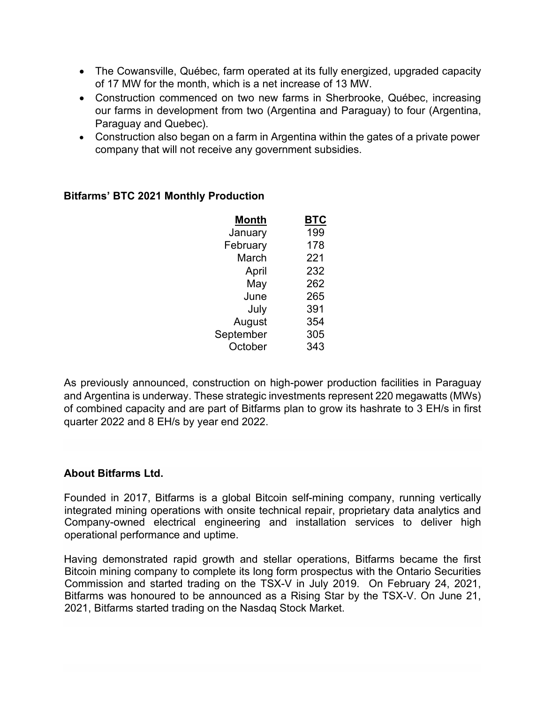- The Cowansville, Québec, farm operated at its fully energized, upgraded capacity of 17 MW for the month, which is a net increase of 13 MW.
- Construction commenced on two new farms in Sherbrooke, Québec, increasing our farms in development from two (Argentina and Paraguay) to four (Argentina, Paraguay and Quebec).
- Construction also began on a farm in Argentina within the gates of a private power company that will not receive any government subsidies.

| Month     | BTC |
|-----------|-----|
| January   | 199 |
| February  | 178 |
| March     | 221 |
| April     | 232 |
| May       | 262 |
| June      | 265 |
| July      | 391 |
| August    | 354 |
| September | 305 |
| October   | 343 |

# **Bitfarms' BTC 2021 Monthly Production**

As previously announced, construction on high-power production facilities in Paraguay and Argentina is underway. These strategic investments represent 220 megawatts (MWs) of combined capacity and are part of Bitfarms plan to grow its hashrate to 3 EH/s in first quarter 2022 and 8 EH/s by year end 2022.

# **About Bitfarms Ltd.**

Founded in 2017, Bitfarms is a global Bitcoin self-mining company, running vertically integrated mining operations with onsite technical repair, proprietary data analytics and Company-owned electrical engineering and installation services to deliver high operational performance and uptime.

Having demonstrated rapid growth and stellar operations, Bitfarms became the first Bitcoin mining company to complete its long form prospectus with the Ontario Securities Commission and started trading on the TSX-V in July 2019. On February 24, 2021, Bitfarms was honoured to be announced as a Rising Star by the TSX-V. On June 21, 2021, Bitfarms started trading on the Nasdaq Stock Market.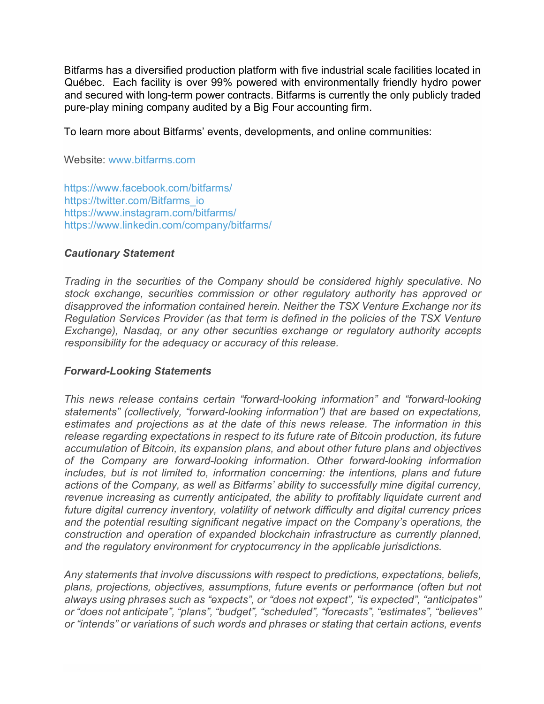Bitfarms has a diversified production platform with five industrial scale facilities located in Québec. Each facility is over 99% powered with environmentally friendly hydro power and secured with long-term power contracts. Bitfarms is currently the only publicly traded pure-play mining company audited by a Big Four accounting firm.

To learn more about Bitfarms' events, developments, and online communities:

Website: [www.bitfarms.com](https://cts.businesswire.com/ct/CT?id=smartlink&url=http%3A%2F%2Fwww.bitfarms.com&esheet=52352512&newsitemid=20201222005172&lan=en-US&anchor=www.bitfarms.com&index=2&md5=8a9d4e770ff4a5696a36ad864bb10f7e)

[https://www.facebook.com/bitfarms/](https://cts.businesswire.com/ct/CT?id=smartlink&url=https%3A%2F%2Fwww.facebook.com%2Fbitfarms%2F&esheet=52352512&newsitemid=20201222005172&lan=en-US&anchor=https%3A%2F%2Fwww.facebook.com%2Fbitfarms%2F&index=3&md5=b6e44e25b52add15c33e867ef844a87f) [https://twitter.com/Bitfarms\\_io](https://cts.businesswire.com/ct/CT?id=smartlink&url=https%3A%2F%2Ftwitter.com%2FBitfarms_io&esheet=52352512&newsitemid=20201222005172&lan=en-US&anchor=https%3A%2F%2Ftwitter.com%2FBitfarms_io&index=4&md5=ea5504adaee0d8d42bb82da141578a4c) [https://www.instagram.com/bitfarms/](https://cts.businesswire.com/ct/CT?id=smartlink&url=https%3A%2F%2Fwww.instagram.com%2Fbitfarms%2F&esheet=52352512&newsitemid=20201222005172&lan=en-US&anchor=https%3A%2F%2Fwww.instagram.com%2Fbitfarms%2F&index=5&md5=c23e35264dd3b32f731404db5d27ba13) [https://www.linkedin.com/company/bitfarms/](https://cts.businesswire.com/ct/CT?id=smartlink&url=https%3A%2F%2Fwww.linkedin.com%2Fcompany%2Fbitfarms%2F&esheet=52352512&newsitemid=20201222005172&lan=en-US&anchor=https%3A%2F%2Fwww.linkedin.com%2Fcompany%2Fbitfarms%2F&index=6&md5=b1358cccd49bdc78b84622ab953c638b)

#### *Cautionary Statement*

*Trading in the securities of the Company should be considered highly speculative. No stock exchange, securities commission or other regulatory authority has approved or disapproved the information contained herein. Neither the TSX Venture Exchange nor its Regulation Services Provider (as that term is defined in the policies of the TSX Venture Exchange), Nasdaq, or any other securities exchange or regulatory authority accepts responsibility for the adequacy or accuracy of this release.*

#### *Forward-Looking Statements*

*This news release contains certain "forward-looking information" and "forward-looking statements" (collectively, "forward-looking information") that are based on expectations, estimates and projections as at the date of this news release. The information in this release regarding expectations in respect to its future rate of Bitcoin production, its future accumulation of Bitcoin, its expansion plans, and about other future plans and objectives of the Company are forward-looking information. Other forward-looking information includes, but is not limited to, information concerning: the intentions, plans and future actions of the Company, as well as Bitfarms' ability to successfully mine digital currency, revenue increasing as currently anticipated, the ability to profitably liquidate current and future digital currency inventory, volatility of network difficulty and digital currency prices and the potential resulting significant negative impact on the Company's operations, the construction and operation of expanded blockchain infrastructure as currently planned, and the regulatory environment for cryptocurrency in the applicable jurisdictions.*

*Any statements that involve discussions with respect to predictions, expectations, beliefs, plans, projections, objectives, assumptions, future events or performance (often but not always using phrases such as "expects", or "does not expect", "is expected", "anticipates" or "does not anticipate", "plans", "budget", "scheduled", "forecasts", "estimates", "believes" or "intends" or variations of such words and phrases or stating that certain actions, events*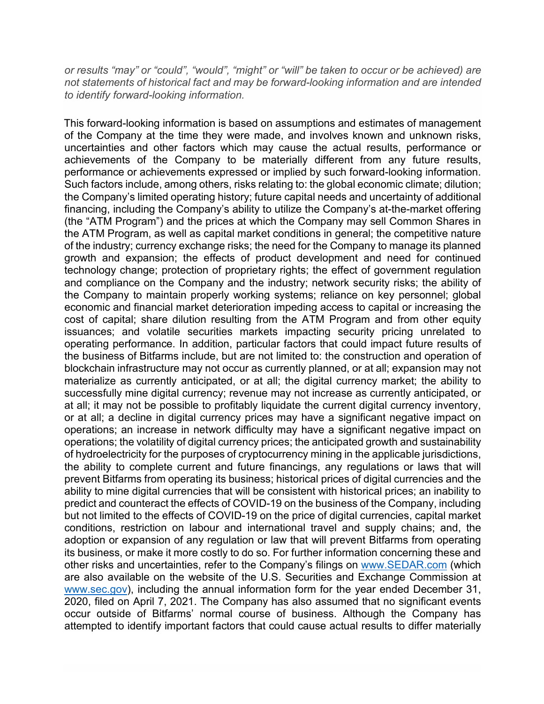*or results "may" or "could", "would", "might" or "will" be taken to occur or be achieved) are not statements of historical fact and may be forward-looking information and are intended to identify forward-looking information.*

This forward-looking information is based on assumptions and estimates of management of the Company at the time they were made, and involves known and unknown risks, uncertainties and other factors which may cause the actual results, performance or achievements of the Company to be materially different from any future results, performance or achievements expressed or implied by such forward-looking information. Such factors include, among others, risks relating to: the global economic climate; dilution; the Company's limited operating history; future capital needs and uncertainty of additional financing, including the Company's ability to utilize the Company's at-the-market offering (the "ATM Program") and the prices at which the Company may sell Common Shares in the ATM Program, as well as capital market conditions in general; the competitive nature of the industry; currency exchange risks; the need for the Company to manage its planned growth and expansion; the effects of product development and need for continued technology change; protection of proprietary rights; the effect of government regulation and compliance on the Company and the industry; network security risks; the ability of the Company to maintain properly working systems; reliance on key personnel; global economic and financial market deterioration impeding access to capital or increasing the cost of capital; share dilution resulting from the ATM Program and from other equity issuances; and volatile securities markets impacting security pricing unrelated to operating performance. In addition, particular factors that could impact future results of the business of Bitfarms include, but are not limited to: the construction and operation of blockchain infrastructure may not occur as currently planned, or at all; expansion may not materialize as currently anticipated, or at all; the digital currency market; the ability to successfully mine digital currency; revenue may not increase as currently anticipated, or at all; it may not be possible to profitably liquidate the current digital currency inventory, or at all; a decline in digital currency prices may have a significant negative impact on operations; an increase in network difficulty may have a significant negative impact on operations; the volatility of digital currency prices; the anticipated growth and sustainability of hydroelectricity for the purposes of cryptocurrency mining in the applicable jurisdictions, the ability to complete current and future financings, any regulations or laws that will prevent Bitfarms from operating its business; historical prices of digital currencies and the ability to mine digital currencies that will be consistent with historical prices; an inability to predict and counteract the effects of COVID-19 on the business of the Company, including but not limited to the effects of COVID-19 on the price of digital currencies, capital market conditions, restriction on labour and international travel and supply chains; and, the adoption or expansion of any regulation or law that will prevent Bitfarms from operating its business, or make it more costly to do so. For further information concerning these and other risks and uncertainties, refer to the Company's filings on [www.SEDAR.com](http://www.sedar.com/) (which are also available on the website of the U.S. Securities and Exchange Commission at [www.sec.gov\)](http://www.sec.gov/), including the annual information form for the year ended December 31, 2020, filed on April 7, 2021. The Company has also assumed that no significant events occur outside of Bitfarms' normal course of business. Although the Company has attempted to identify important factors that could cause actual results to differ materially